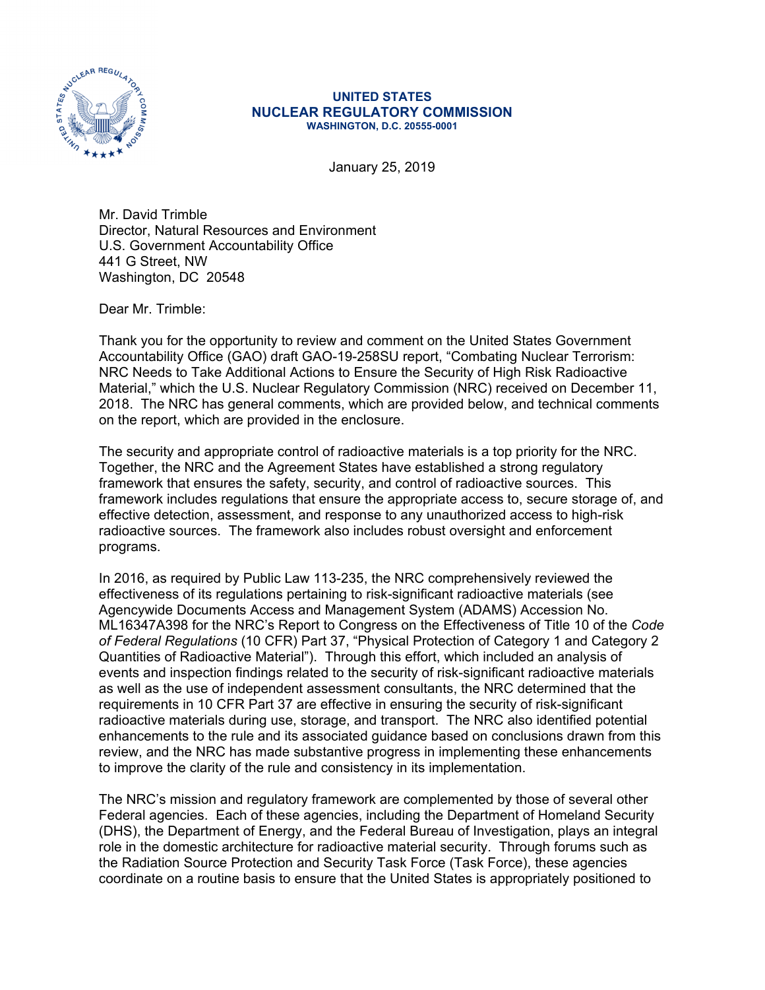

## **UNITED STATES NUCLEAR REGULATORY COMMISSION WASHINGTON, D.C. 20555-0001**

January 25, 2019

Mr. David Trimble Director, Natural Resources and Environment U.S. Government Accountability Office 441 G Street, NW Washington, DC 20548

Dear Mr. Trimble:

Thank you for the opportunity to review and comment on the United States Government Accountability Office (GAO) draft GAO-19-258SU report, "Combating Nuclear Terrorism: NRC Needs to Take Additional Actions to Ensure the Security of High Risk Radioactive Material," which the U.S. Nuclear Regulatory Commission (NRC) received on December 11, 2018. The NRC has general comments, which are provided below, and technical comments on the report, which are provided in the enclosure.

The security and appropriate control of radioactive materials is a top priority for the NRC. Together, the NRC and the Agreement States have established a strong regulatory framework that ensures the safety, security, and control of radioactive sources. This framework includes regulations that ensure the appropriate access to, secure storage of, and effective detection, assessment, and response to any unauthorized access to high-risk radioactive sources. The framework also includes robust oversight and enforcement programs.

In 2016, as required by Public Law 113-235, the NRC comprehensively reviewed the effectiveness of its regulations pertaining to risk-significant radioactive materials (see Agencywide Documents Access and Management System (ADAMS) Accession No. ML16347A398 for the NRC's Report to Congress on the Effectiveness of Title 10 of the *Code of Federal Regulations* (10 CFR) Part 37, "Physical Protection of Category 1 and Category 2 Quantities of Radioactive Material"). Through this effort, which included an analysis of events and inspection findings related to the security of risk-significant radioactive materials as well as the use of independent assessment consultants, the NRC determined that the requirements in 10 CFR Part 37 are effective in ensuring the security of risk-significant radioactive materials during use, storage, and transport. The NRC also identified potential enhancements to the rule and its associated guidance based on conclusions drawn from this review, and the NRC has made substantive progress in implementing these enhancements to improve the clarity of the rule and consistency in its implementation.

The NRC's mission and regulatory framework are complemented by those of several other Federal agencies. Each of these agencies, including the Department of Homeland Security (DHS), the Department of Energy, and the Federal Bureau of Investigation, plays an integral role in the domestic architecture for radioactive material security. Through forums such as the Radiation Source Protection and Security Task Force (Task Force), these agencies coordinate on a routine basis to ensure that the United States is appropriately positioned to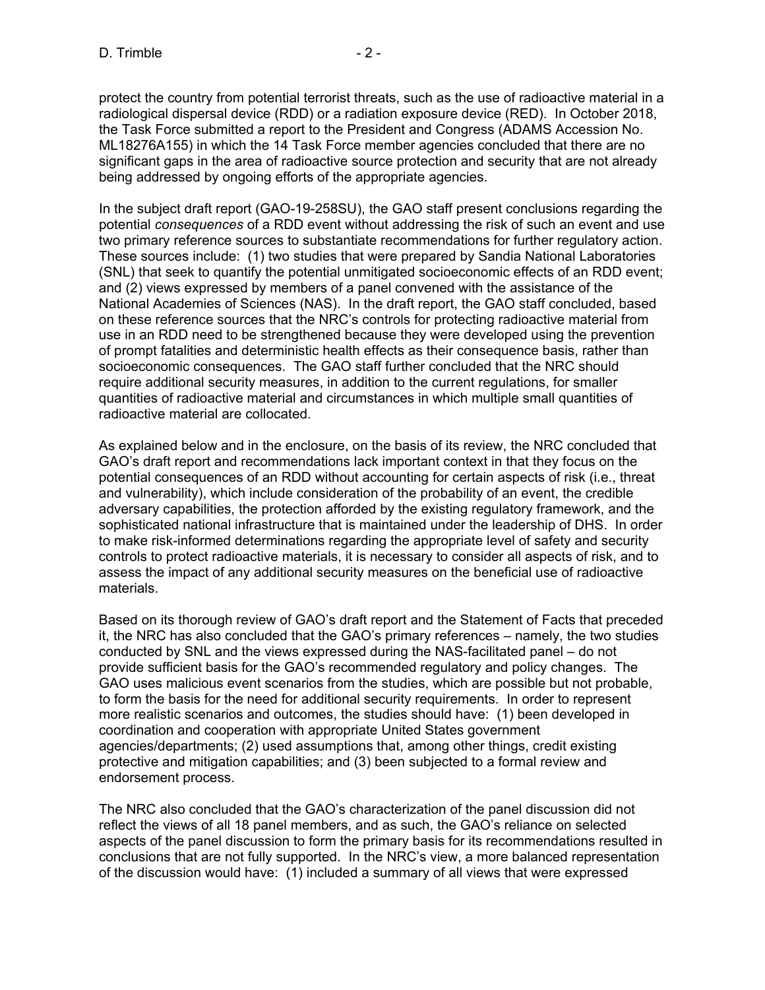protect the country from potential terrorist threats, such as the use of radioactive material in a radiological dispersal device (RDD) or a radiation exposure device (RED). In October 2018, the Task Force submitted a report to the President and Congress (ADAMS Accession No. ML18276A155) in which the 14 Task Force member agencies concluded that there are no significant gaps in the area of radioactive source protection and security that are not already being addressed by ongoing efforts of the appropriate agencies.

In the subject draft report (GAO-19-258SU), the GAO staff present conclusions regarding the potential *consequences* of a RDD event without addressing the risk of such an event and use two primary reference sources to substantiate recommendations for further regulatory action. These sources include: (1) two studies that were prepared by Sandia National Laboratories (SNL) that seek to quantify the potential unmitigated socioeconomic effects of an RDD event; and (2) views expressed by members of a panel convened with the assistance of the National Academies of Sciences (NAS). In the draft report, the GAO staff concluded, based on these reference sources that the NRC's controls for protecting radioactive material from use in an RDD need to be strengthened because they were developed using the prevention of prompt fatalities and deterministic health effects as their consequence basis, rather than socioeconomic consequences. The GAO staff further concluded that the NRC should require additional security measures, in addition to the current regulations, for smaller quantities of radioactive material and circumstances in which multiple small quantities of radioactive material are collocated.

As explained below and in the enclosure, on the basis of its review, the NRC concluded that GAO's draft report and recommendations lack important context in that they focus on the potential consequences of an RDD without accounting for certain aspects of risk (i.e., threat and vulnerability), which include consideration of the probability of an event, the credible adversary capabilities, the protection afforded by the existing regulatory framework, and the sophisticated national infrastructure that is maintained under the leadership of DHS. In order to make risk-informed determinations regarding the appropriate level of safety and security controls to protect radioactive materials, it is necessary to consider all aspects of risk, and to assess the impact of any additional security measures on the beneficial use of radioactive materials.

Based on its thorough review of GAO's draft report and the Statement of Facts that preceded it, the NRC has also concluded that the GAO's primary references – namely, the two studies conducted by SNL and the views expressed during the NAS-facilitated panel – do not provide sufficient basis for the GAO's recommended regulatory and policy changes. The GAO uses malicious event scenarios from the studies, which are possible but not probable, to form the basis for the need for additional security requirements. In order to represent more realistic scenarios and outcomes, the studies should have: (1) been developed in coordination and cooperation with appropriate United States government agencies/departments; (2) used assumptions that, among other things, credit existing protective and mitigation capabilities; and (3) been subjected to a formal review and endorsement process.

The NRC also concluded that the GAO's characterization of the panel discussion did not reflect the views of all 18 panel members, and as such, the GAO's reliance on selected aspects of the panel discussion to form the primary basis for its recommendations resulted in conclusions that are not fully supported. In the NRC's view, a more balanced representation of the discussion would have: (1) included a summary of all views that were expressed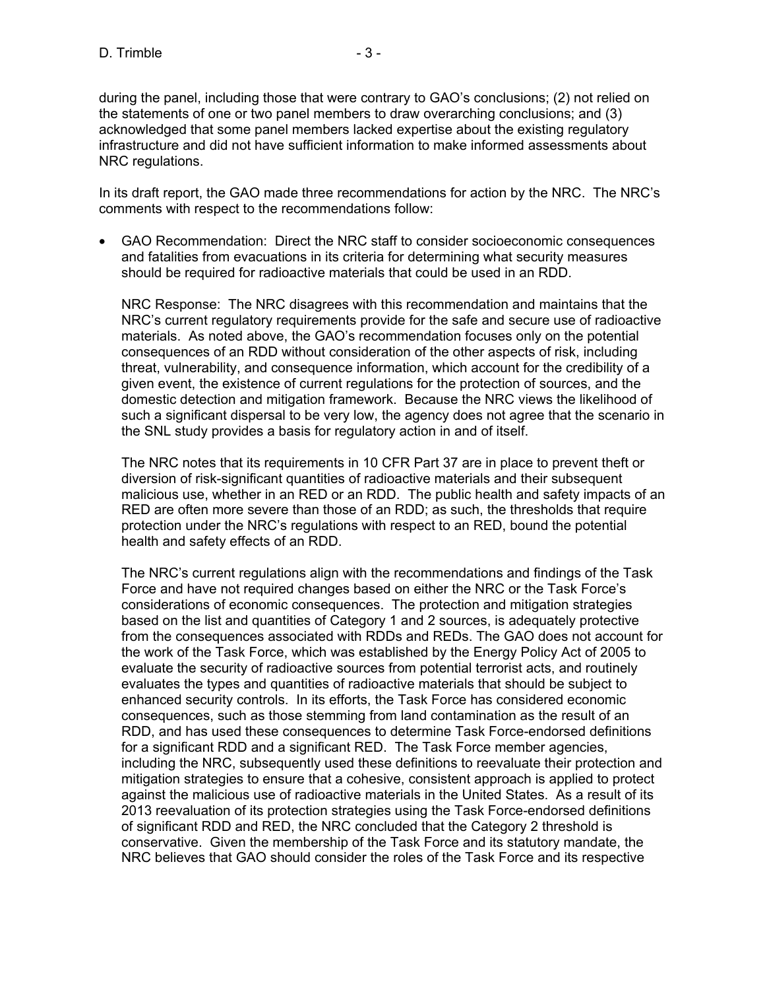during the panel, including those that were contrary to GAO's conclusions; (2) not relied on the statements of one or two panel members to draw overarching conclusions; and (3) acknowledged that some panel members lacked expertise about the existing regulatory infrastructure and did not have sufficient information to make informed assessments about NRC regulations.

In its draft report, the GAO made three recommendations for action by the NRC. The NRC's comments with respect to the recommendations follow:

• GAO Recommendation: Direct the NRC staff to consider socioeconomic consequences and fatalities from evacuations in its criteria for determining what security measures should be required for radioactive materials that could be used in an RDD.

NRC Response: The NRC disagrees with this recommendation and maintains that the NRC's current regulatory requirements provide for the safe and secure use of radioactive materials. As noted above, the GAO's recommendation focuses only on the potential consequences of an RDD without consideration of the other aspects of risk, including threat, vulnerability, and consequence information, which account for the credibility of a given event, the existence of current regulations for the protection of sources, and the domestic detection and mitigation framework. Because the NRC views the likelihood of such a significant dispersal to be very low, the agency does not agree that the scenario in the SNL study provides a basis for regulatory action in and of itself.

The NRC notes that its requirements in 10 CFR Part 37 are in place to prevent theft or diversion of risk-significant quantities of radioactive materials and their subsequent malicious use, whether in an RED or an RDD. The public health and safety impacts of an RED are often more severe than those of an RDD; as such, the thresholds that require protection under the NRC's regulations with respect to an RED, bound the potential health and safety effects of an RDD.

The NRC's current regulations align with the recommendations and findings of the Task Force and have not required changes based on either the NRC or the Task Force's considerations of economic consequences. The protection and mitigation strategies based on the list and quantities of Category 1 and 2 sources, is adequately protective from the consequences associated with RDDs and REDs. The GAO does not account for the work of the Task Force, which was established by the Energy Policy Act of 2005 to evaluate the security of radioactive sources from potential terrorist acts, and routinely evaluates the types and quantities of radioactive materials that should be subject to enhanced security controls. In its efforts, the Task Force has considered economic consequences, such as those stemming from land contamination as the result of an RDD, and has used these consequences to determine Task Force-endorsed definitions for a significant RDD and a significant RED. The Task Force member agencies, including the NRC, subsequently used these definitions to reevaluate their protection and mitigation strategies to ensure that a cohesive, consistent approach is applied to protect against the malicious use of radioactive materials in the United States. As a result of its 2013 reevaluation of its protection strategies using the Task Force-endorsed definitions of significant RDD and RED, the NRC concluded that the Category 2 threshold is conservative. Given the membership of the Task Force and its statutory mandate, the NRC believes that GAO should consider the roles of the Task Force and its respective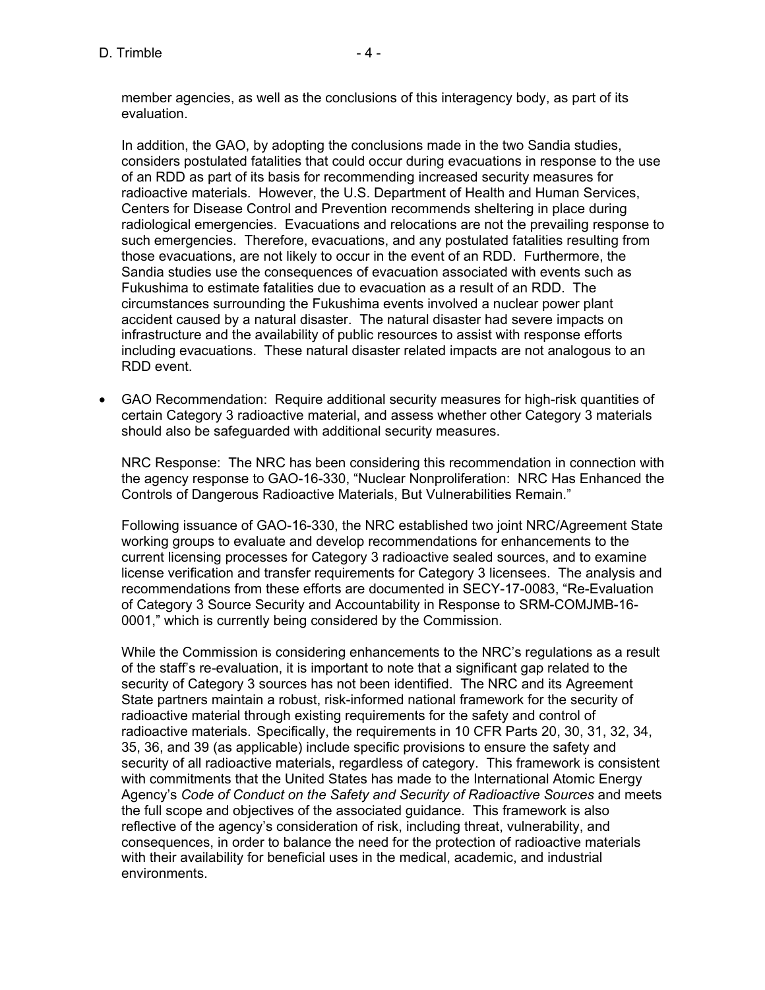$D.$  Trimble  $-4 -$ 

member agencies, as well as the conclusions of this interagency body, as part of its evaluation.

In addition, the GAO, by adopting the conclusions made in the two Sandia studies, considers postulated fatalities that could occur during evacuations in response to the use of an RDD as part of its basis for recommending increased security measures for radioactive materials. However, the U.S. Department of Health and Human Services, Centers for Disease Control and Prevention recommends sheltering in place during radiological emergencies. Evacuations and relocations are not the prevailing response to such emergencies. Therefore, evacuations, and any postulated fatalities resulting from those evacuations, are not likely to occur in the event of an RDD. Furthermore, the Sandia studies use the consequences of evacuation associated with events such as Fukushima to estimate fatalities due to evacuation as a result of an RDD. The circumstances surrounding the Fukushima events involved a nuclear power plant accident caused by a natural disaster. The natural disaster had severe impacts on infrastructure and the availability of public resources to assist with response efforts including evacuations. These natural disaster related impacts are not analogous to an RDD event.

• GAO Recommendation: Require additional security measures for high-risk quantities of certain Category 3 radioactive material, and assess whether other Category 3 materials should also be safeguarded with additional security measures.

NRC Response: The NRC has been considering this recommendation in connection with the agency response to GAO-16-330, "Nuclear Nonproliferation: NRC Has Enhanced the Controls of Dangerous Radioactive Materials, But Vulnerabilities Remain."

Following issuance of GAO-16-330, the NRC established two joint NRC/Agreement State working groups to evaluate and develop recommendations for enhancements to the current licensing processes for Category 3 radioactive sealed sources, and to examine license verification and transfer requirements for Category 3 licensees. The analysis and recommendations from these efforts are documented in SECY-17-0083, "Re-Evaluation of Category 3 Source Security and Accountability in Response to SRM-COMJMB-16- 0001," which is currently being considered by the Commission.

While the Commission is considering enhancements to the NRC's regulations as a result of the staff's re-evaluation, it is important to note that a significant gap related to the security of Category 3 sources has not been identified. The NRC and its Agreement State partners maintain a robust, risk-informed national framework for the security of radioactive material through existing requirements for the safety and control of radioactive materials. Specifically, the requirements in 10 CFR Parts 20, 30, 31, 32, 34, 35, 36, and 39 (as applicable) include specific provisions to ensure the safety and security of all radioactive materials, regardless of category. This framework is consistent with commitments that the United States has made to the International Atomic Energy Agency's *Code of Conduct on the Safety and Security of Radioactive Sources* and meets the full scope and objectives of the associated guidance. This framework is also reflective of the agency's consideration of risk, including threat, vulnerability, and consequences, in order to balance the need for the protection of radioactive materials with their availability for beneficial uses in the medical, academic, and industrial environments.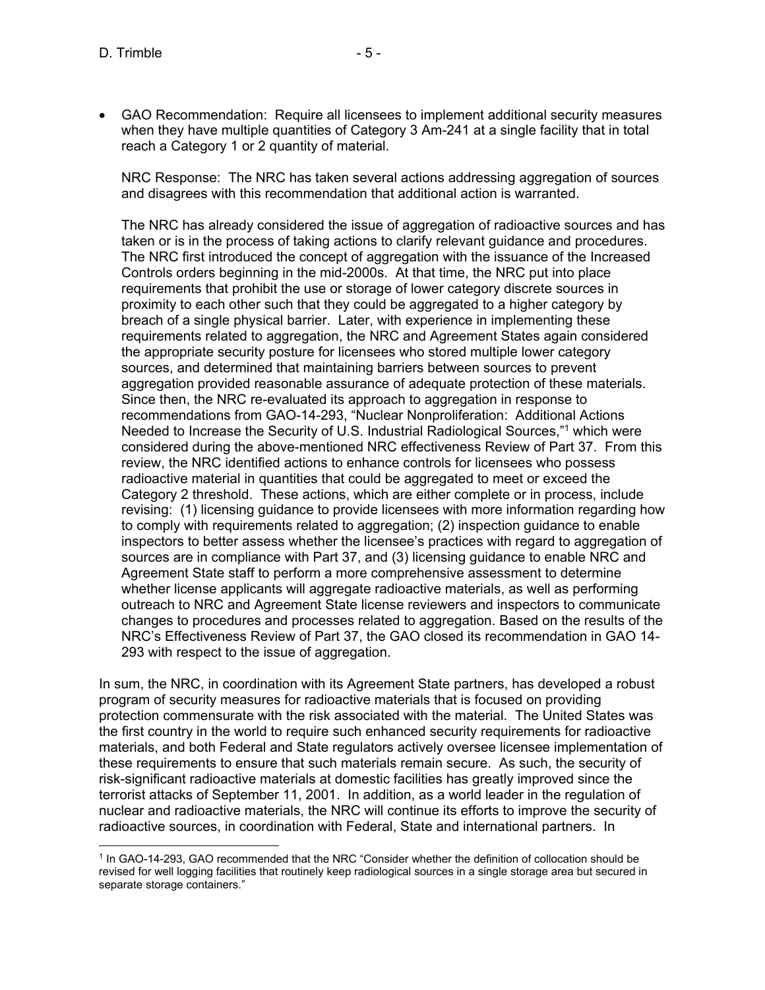- 
- GAO Recommendation: Require all licensees to implement additional security measures when they have multiple quantities of Category 3 Am-241 at a single facility that in total reach a Category 1 or 2 quantity of material.

NRC Response: The NRC has taken several actions addressing aggregation of sources and disagrees with this recommendation that additional action is warranted.

The NRC has already considered the issue of aggregation of radioactive sources and has taken or is in the process of taking actions to clarify relevant guidance and procedures. The NRC first introduced the concept of aggregation with the issuance of the Increased Controls orders beginning in the mid-2000s. At that time, the NRC put into place requirements that prohibit the use or storage of lower category discrete sources in proximity to each other such that they could be aggregated to a higher category by breach of a single physical barrier. Later, with experience in implementing these requirements related to aggregation, the NRC and Agreement States again considered the appropriate security posture for licensees who stored multiple lower category sources, and determined that maintaining barriers between sources to prevent aggregation provided reasonable assurance of adequate protection of these materials. Since then, the NRC re-evaluated its approach to aggregation in response to recommendations from GAO-14-293, "Nuclear Nonproliferation: Additional Actions Needed to Increase the Security of U.S. Industrial Radiological Sources,"1 which were considered during the above-mentioned NRC effectiveness Review of Part 37. From this review, the NRC identified actions to enhance controls for licensees who possess radioactive material in quantities that could be aggregated to meet or exceed the Category 2 threshold. These actions, which are either complete or in process, include revising: (1) licensing guidance to provide licensees with more information regarding how to comply with requirements related to aggregation; (2) inspection guidance to enable inspectors to better assess whether the licensee's practices with regard to aggregation of sources are in compliance with Part 37, and (3) licensing guidance to enable NRC and Agreement State staff to perform a more comprehensive assessment to determine whether license applicants will aggregate radioactive materials, as well as performing outreach to NRC and Agreement State license reviewers and inspectors to communicate changes to procedures and processes related to aggregation. Based on the results of the NRC's Effectiveness Review of Part 37, the GAO closed its recommendation in GAO 14- 293 with respect to the issue of aggregation.

In sum, the NRC, in coordination with its Agreement State partners, has developed a robust program of security measures for radioactive materials that is focused on providing protection commensurate with the risk associated with the material. The United States was the first country in the world to require such enhanced security requirements for radioactive materials, and both Federal and State regulators actively oversee licensee implementation of these requirements to ensure that such materials remain secure. As such, the security of risk-significant radioactive materials at domestic facilities has greatly improved since the terrorist attacks of September 11, 2001. In addition, as a world leader in the regulation of nuclear and radioactive materials, the NRC will continue its efforts to improve the security of radioactive sources, in coordination with Federal, State and international partners. In

 $\overline{a}$ 1 In GAO-14-293, GAO recommended that the NRC "Consider whether the definition of collocation should be revised for well logging facilities that routinely keep radiological sources in a single storage area but secured in separate storage containers."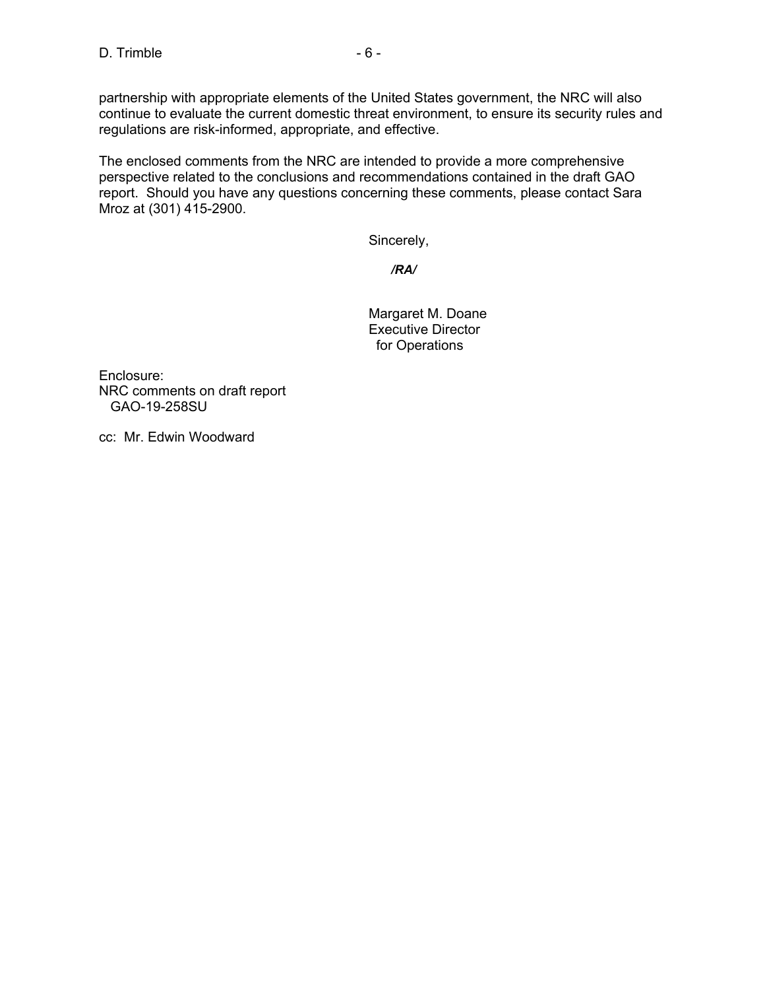partnership with appropriate elements of the United States government, the NRC will also continue to evaluate the current domestic threat environment, to ensure its security rules and regulations are risk-informed, appropriate, and effective.

The enclosed comments from the NRC are intended to provide a more comprehensive perspective related to the conclusions and recommendations contained in the draft GAO report. Should you have any questions concerning these comments, please contact Sara Mroz at (301) 415-2900.

Sincerely,

*/RA/* 

Margaret M. Doane Executive Director for Operations

Enclosure: NRC comments on draft report GAO-19-258SU

cc: Mr. Edwin Woodward